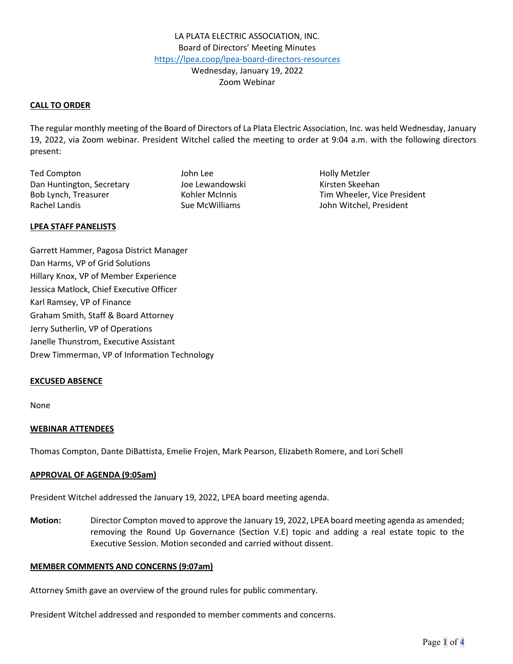## **CALL TO ORDER**

The regular monthly meeting of the Board of Directors of La Plata Electric Association, Inc. was held Wednesday, January 19, 2022, via Zoom webinar. President Witchel called the meeting to order at 9:04 a.m. with the following directors present:

Ted Compton The Compton Compton Compton Compton Compton Compton John Lee The Holly Metzler Dan Huntington, Secretary **Manual School** Joe Lewandowski Kirsten Skeehan Rachel Landis **Sue McWilliams** Sue McWilliams John Witchel, President

Bob Lynch, Treasurer Tim Wheeler, Vice President

### **LPEA STAFF PANELISTS**

Garrett Hammer, Pagosa District Manager Dan Harms, VP of Grid Solutions Hillary Knox, VP of Member Experience Jessica Matlock, Chief Executive Officer Karl Ramsey, VP of Finance Graham Smith, Staff & Board Attorney Jerry Sutherlin, VP of Operations Janelle Thunstrom, Executive Assistant Drew Timmerman, VP of Information Technology

### **EXCUSED ABSENCE**

None

# **WEBINAR ATTENDEES**

Thomas Compton, Dante DiBattista, Emelie Frojen, Mark Pearson, Elizabeth Romere, and Lori Schell

### **APPROVAL OF AGENDA (9:05am)**

President Witchel addressed the January 19, 2022, LPEA board meeting agenda.

**Motion:** Director Compton moved to approve the January 19, 2022, LPEA board meeting agenda as amended; removing the Round Up Governance (Section V.E) topic and adding a real estate topic to the Executive Session. Motion seconded and carried without dissent.

### **MEMBER COMMENTS AND CONCERNS (9:07am)**

Attorney Smith gave an overview of the ground rules for public commentary.

President Witchel addressed and responded to member comments and concerns.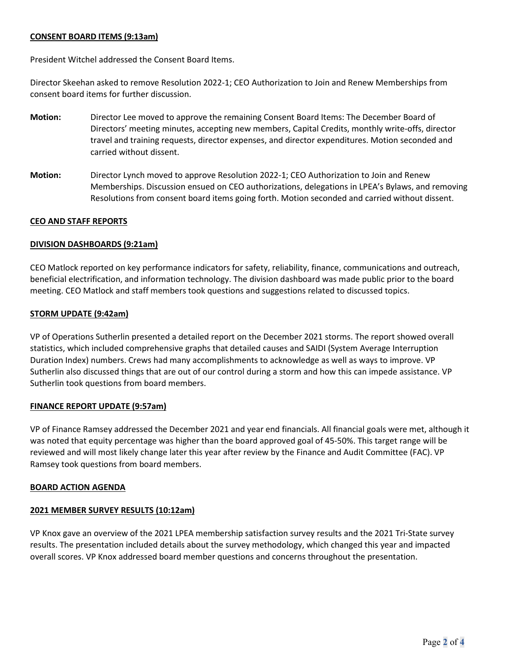# **CONSENT BOARD ITEMS (9:13am)**

President Witchel addressed the Consent Board Items.

Director Skeehan asked to remove Resolution 2022-1; CEO Authorization to Join and Renew Memberships from consent board items for further discussion.

- **Motion:** Director Lee moved to approve the remaining Consent Board Items: The December Board of Directors' meeting minutes, accepting new members, Capital Credits, monthly write-offs, director travel and training requests, director expenses, and director expenditures. Motion seconded and carried without dissent.
- **Motion:** Director Lynch moved to approve Resolution 2022-1; CEO Authorization to Join and Renew Memberships. Discussion ensued on CEO authorizations, delegations in LPEA's Bylaws, and removing Resolutions from consent board items going forth. Motion seconded and carried without dissent.

## **CEO AND STAFF REPORTS**

## **DIVISION DASHBOARDS (9:21am)**

CEO Matlock reported on key performance indicators for safety, reliability, finance, communications and outreach, beneficial electrification, and information technology. The division dashboard was made public prior to the board meeting. CEO Matlock and staff members took questions and suggestions related to discussed topics.

## **STORM UPDATE (9:42am)**

VP of Operations Sutherlin presented a detailed report on the December 2021 storms. The report showed overall statistics, which included comprehensive graphs that detailed causes and SAIDI (System Average Interruption Duration Index) numbers. Crews had many accomplishments to acknowledge as well as ways to improve. VP Sutherlin also discussed things that are out of our control during a storm and how this can impede assistance. VP Sutherlin took questions from board members.

### **FINANCE REPORT UPDATE (9:57am)**

VP of Finance Ramsey addressed the December 2021 and year end financials. All financial goals were met, although it was noted that equity percentage was higher than the board approved goal of 45-50%. This target range will be reviewed and will most likely change later this year after review by the Finance and Audit Committee (FAC). VP Ramsey took questions from board members.

### **BOARD ACTION AGENDA**

# **2021 MEMBER SURVEY RESULTS (10:12am)**

VP Knox gave an overview of the 2021 LPEA membership satisfaction survey results and the 2021 Tri-State survey results. The presentation included details about the survey methodology, which changed this year and impacted overall scores. VP Knox addressed board member questions and concerns throughout the presentation.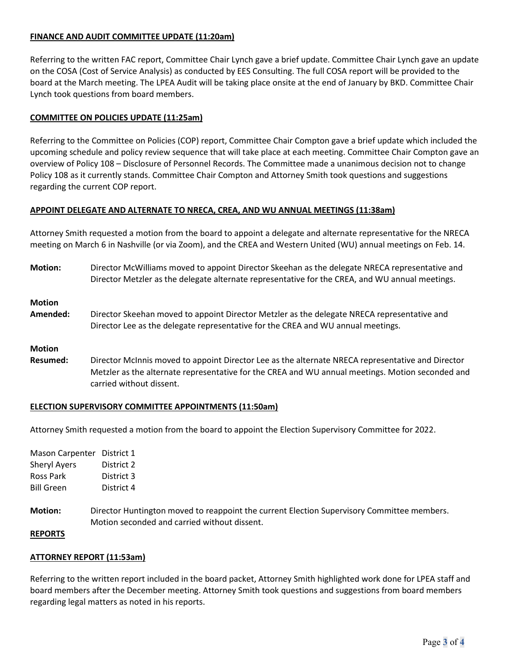# **FINANCE AND AUDIT COMMITTEE UPDATE (11:20am)**

Referring to the written FAC report, Committee Chair Lynch gave a brief update. Committee Chair Lynch gave an update on the COSA (Cost of Service Analysis) as conducted by EES Consulting. The full COSA report will be provided to the board at the March meeting. The LPEA Audit will be taking place onsite at the end of January by BKD. Committee Chair Lynch took questions from board members.

# **COMMITTEE ON POLICIES UPDATE (11:25am)**

Referring to the Committee on Policies (COP) report, Committee Chair Compton gave a brief update which included the upcoming schedule and policy review sequence that will take place at each meeting. Committee Chair Compton gave an overview of Policy 108 – Disclosure of Personnel Records. The Committee made a unanimous decision not to change Policy 108 as it currently stands. Committee Chair Compton and Attorney Smith took questions and suggestions regarding the current COP report.

# **APPOINT DELEGATE AND ALTERNATE TO NRECA, CREA, AND WU ANNUAL MEETINGS (11:38am)**

Attorney Smith requested a motion from the board to appoint a delegate and alternate representative for the NRECA meeting on March 6 in Nashville (or via Zoom), and the CREA and Western United (WU) annual meetings on Feb. 14.

**Motion:** Director McWilliams moved to appoint Director Skeehan as the delegate NRECA representative and Director Metzler as the delegate alternate representative for the CREA, and WU annual meetings.

## **Motion**

**Amended:** Director Skeehan moved to appoint Director Metzler as the delegate NRECA representative and Director Lee as the delegate representative for the CREA and WU annual meetings.

### **Motion**

**Resumed:** Director McInnis moved to appoint Director Lee as the alternate NRECA representative and Director Metzler as the alternate representative for the CREA and WU annual meetings. Motion seconded and carried without dissent.

# **ELECTION SUPERVISORY COMMITTEE APPOINTMENTS (11:50am)**

Attorney Smith requested a motion from the board to appoint the Election Supervisory Committee for 2022.

| <b>Mason Carpenter</b> | District 1 |
|------------------------|------------|
| <b>Sheryl Ayers</b>    | District 2 |
| Ross Park              | District 3 |
| <b>Bill Green</b>      | District 4 |

**Motion:** Director Huntington moved to reappoint the current Election Supervisory Committee members. Motion seconded and carried without dissent.

### **REPORTS**

# **ATTORNEY REPORT (11:53am)**

Referring to the written report included in the board packet, Attorney Smith highlighted work done for LPEA staff and board members after the December meeting. Attorney Smith took questions and suggestions from board members regarding legal matters as noted in his reports.